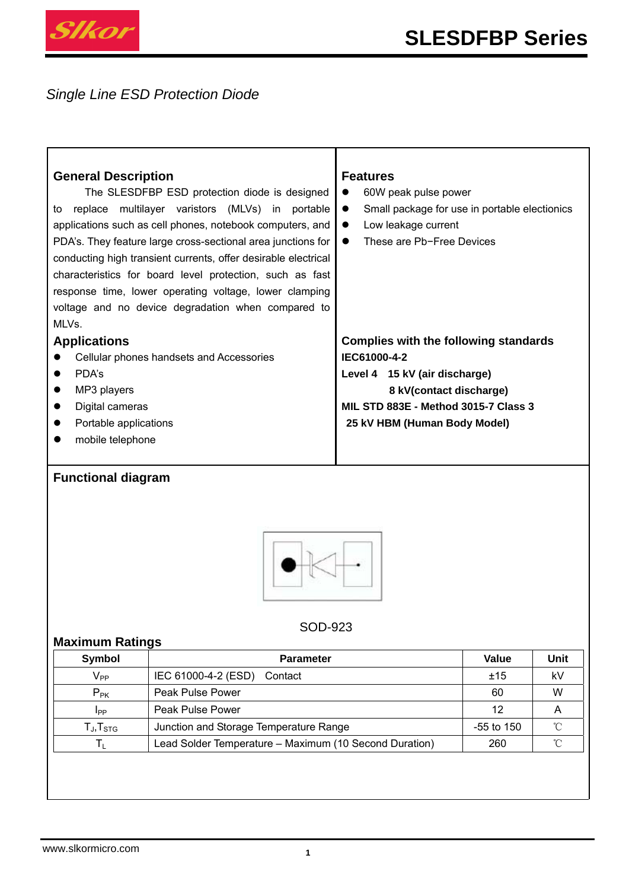

*Single Line ESD Protection Diode* 

| <b>General Description</b>                                     | <b>Features</b>                                            |  |  |  |
|----------------------------------------------------------------|------------------------------------------------------------|--|--|--|
| The SLESDFBP ESD protection diode is designed                  | 60W peak pulse power                                       |  |  |  |
| multilayer varistors (MLVs) in portable<br>to replace          | Small package for use in portable electionics<br>$\bullet$ |  |  |  |
| applications such as cell phones, notebook computers, and      | Low leakage current<br>$\bullet$                           |  |  |  |
| PDA's. They feature large cross-sectional area junctions for   | These are Pb-Free Devices<br>$\bullet$                     |  |  |  |
| conducting high transient currents, offer desirable electrical |                                                            |  |  |  |
| characteristics for board level protection, such as fast       |                                                            |  |  |  |
| response time, lower operating voltage, lower clamping         |                                                            |  |  |  |
| voltage and no device degradation when compared to             |                                                            |  |  |  |
| MLVs.                                                          |                                                            |  |  |  |
| <b>Applications</b>                                            | Complies with the following standards                      |  |  |  |
| Cellular phones handsets and Accessories                       | IEC61000-4-2                                               |  |  |  |
| PDA's<br>$\bullet$                                             | Level 4 15 kV (air discharge)                              |  |  |  |
| MP3 players<br>$\bullet$                                       | 8 kV(contact discharge)                                    |  |  |  |
| Digital cameras<br>$\bullet$                                   | <b>MIL STD 883E - Method 3015-7 Class 3</b>                |  |  |  |
| Portable applications<br>$\bullet$                             | 25 kV HBM (Human Body Model)                               |  |  |  |
| mobile telephone                                               |                                                            |  |  |  |

# **Functional diagram**



### SOD-923

## **Maximum Ratings**

| Symbol                   | <b>Parameter</b>                                       | Value        | Unit |
|--------------------------|--------------------------------------------------------|--------------|------|
| $V_{PP}$                 | IEC 61000-4-2 (ESD)<br>Contact                         | ±15          | kV   |
| $P_{PK}$                 | Peak Pulse Power                                       | 60           | W    |
| Ipp                      | Peak Pulse Power                                       | 12           | A    |
| $T_{\sf J}, T_{\sf STG}$ | Junction and Storage Temperature Range                 | $-55$ to 150 |      |
|                          | Lead Solder Temperature - Maximum (10 Second Duration) | 260          |      |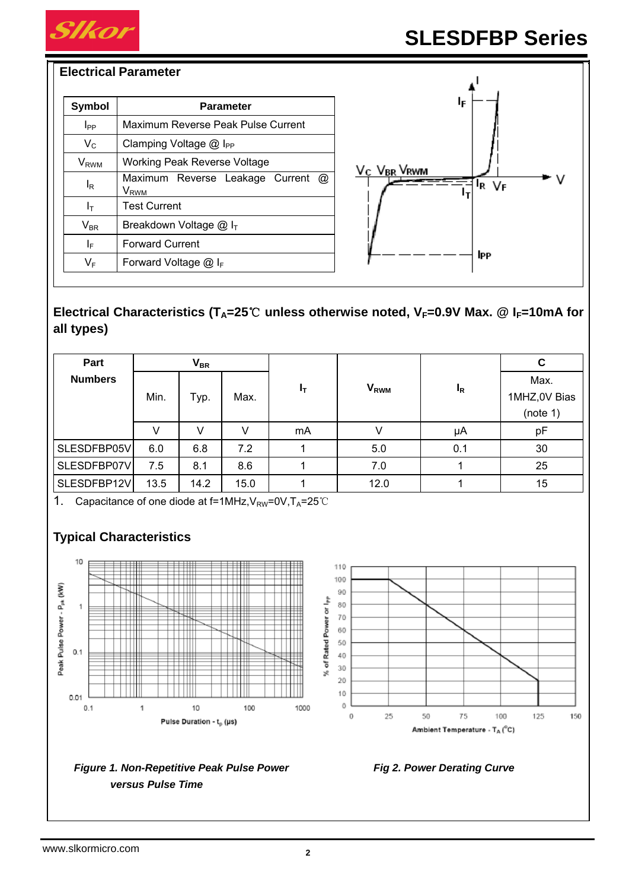

#### **Electrical Parameter**

| <b>Symbol</b>           | <b>Parameter</b>                                                             |  |  |  |  |
|-------------------------|------------------------------------------------------------------------------|--|--|--|--|
| I <sub>PP</sub>         | Maximum Reverse Peak Pulse Current                                           |  |  |  |  |
| $V_{C}$                 | Clamping Voltage $@$ I <sub>PP</sub>                                         |  |  |  |  |
| <b>V</b> <sub>RWM</sub> | <b>Working Peak Reverse Voltage</b>                                          |  |  |  |  |
| l <sub>R</sub>          | Maximum Reverse Leakage Current<br>$^{\circledR}$<br><b>V</b> <sub>RWM</sub> |  |  |  |  |
| Iт                      | <b>Test Current</b>                                                          |  |  |  |  |
| $V_{BR}$                | Breakdown Voltage $@I_{T}$                                                   |  |  |  |  |
| ΙF                      | <b>Forward Current</b>                                                       |  |  |  |  |
| $V_F$                   | Forward Voltage $@I_{F}$                                                     |  |  |  |  |



# Electrical Characteristics (T<sub>A</sub>=25℃ unless otherwise noted, V<sub>F</sub>=0.9V Max. @ I<sub>F</sub>=10mA for **all types)**

| Part           |      | <b>V<sub>BR</sub></b> |      |       |                        |       | С            |
|----------------|------|-----------------------|------|-------|------------------------|-------|--------------|
| <b>Numbers</b> |      |                       |      | $I_T$ | <b>V<sub>RWM</sub></b> | $I_R$ | Max.         |
|                | Min. | Typ.                  | Max. |       |                        |       | 1MHZ,0V Bias |
|                |      |                       |      |       |                        |       | (note 1)     |
|                | V    | V                     |      | mA    |                        | μA    | pF           |
| SLESDFBP05V    | 6.0  | 6.8                   | 7.2  |       | 5.0                    | 0.1   | 30           |
| SLESDFBP07V    | 7.5  | 8.1                   | 8.6  |       | 7.0                    |       | 25           |
| SLESDFBP12V    | 13.5 | 14.2                  | 15.0 |       | 12.0                   |       | 15           |

1. Capacitance of one diode at  $f=1$ MHz,  $V_{RW}=0$ V,  $T_A=25$ °C

# **Typical Characteristics**



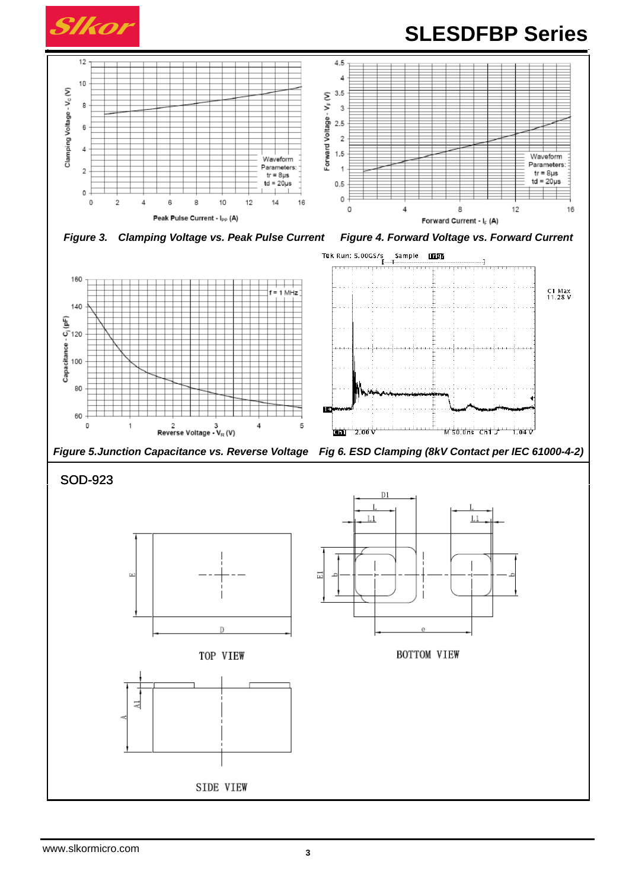

# **SLESDFBP Series**